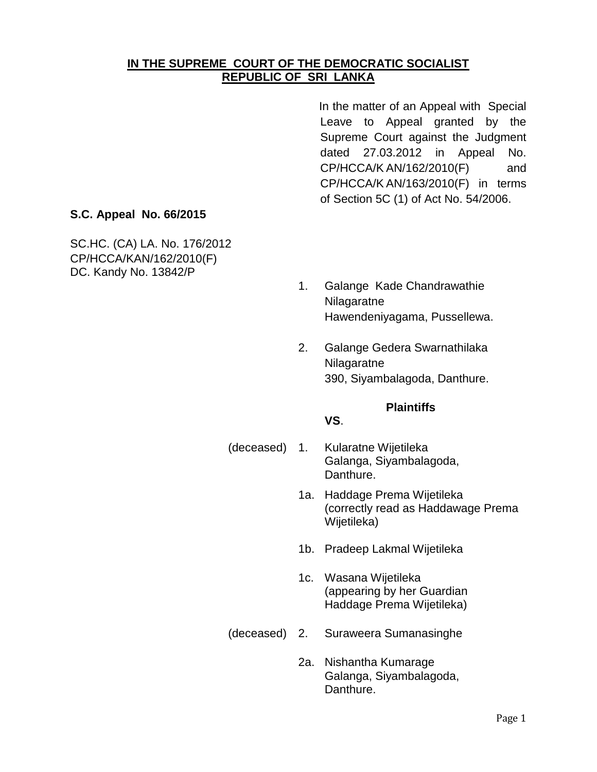### **IN THE SUPREME COURT OF THE DEMOCRATIC SOCIALIST REPUBLIC OF SRI LANKA**

In the matter of an Appeal with Special Leave to Appeal granted by the Supreme Court against the Judgment dated 27.03.2012 in Appeal No. CP/HCCA/K AN/162/2010(F) and CP/HCCA/K AN/163/2010(F) in terms of Section 5C (1) of Act No. 54/2006.

### **S.C. Appeal No. 66/2015**

SC.HC. (CA) LA. No. 176/2012 CP/HCCA/KAN/162/2010(F) DC. Kandy No. 13842/P

- 1. Galange Kade Chandrawathie Nilagaratne Hawendeniyagama, Pussellewa.
- 2. Galange Gedera Swarnathilaka Nilagaratne 390, Siyambalagoda, Danthure.

#### **Plaintiffs**

#### **VS**.

- (deceased) 1. Kularatne Wijetileka Galanga, Siyambalagoda, Danthure.
	- 1a. Haddage Prema Wijetileka (correctly read as Haddawage Prema Wijetileka)
	- 1b. Pradeep Lakmal Wijetileka
	- 1c. Wasana Wijetileka (appearing by her Guardian Haddage Prema Wijetileka)
- (deceased) 2. Suraweera Sumanasinghe
	- 2a. Nishantha Kumarage Galanga, Siyambalagoda, Danthure.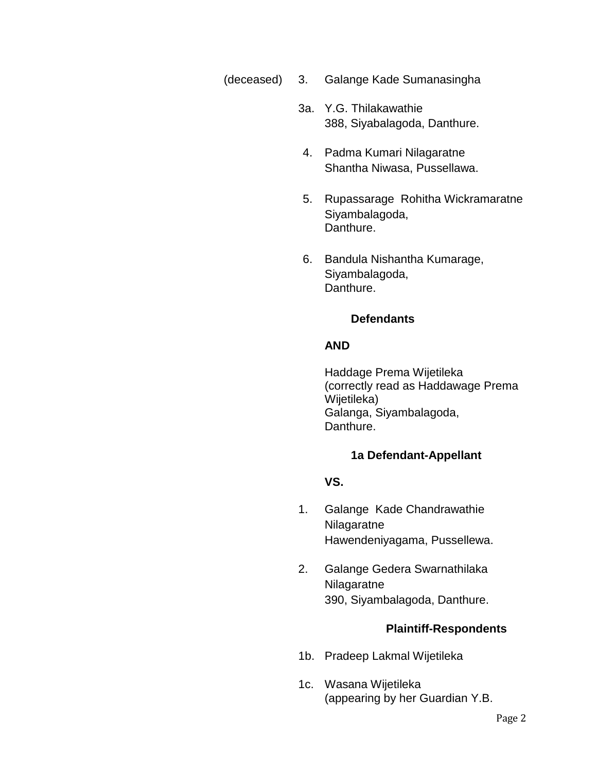- (deceased) 3. Galange Kade Sumanasingha
	- 3a. Y.G. Thilakawathie 388, Siyabalagoda, Danthure.
	- 4. Padma Kumari Nilagaratne Shantha Niwasa, Pussellawa.
	- 5. Rupassarage Rohitha Wickramaratne Siyambalagoda, Danthure.
	- 6. Bandula Nishantha Kumarage, Siyambalagoda, Danthure.

#### **Defendants**

#### **AND**

Haddage Prema Wijetileka (correctly read as Haddawage Prema Wijetileka) Galanga, Siyambalagoda, Danthure.

#### **1a Defendant-Appellant**

**VS.**

- 1. Galange Kade Chandrawathie Nilagaratne Hawendeniyagama, Pussellewa.
- 2. Galange Gedera Swarnathilaka Nilagaratne 390, Siyambalagoda, Danthure.

#### **Plaintiff-Respondents**

- 1b. Pradeep Lakmal Wijetileka
- 1c. Wasana Wijetileka (appearing by her Guardian Y.B.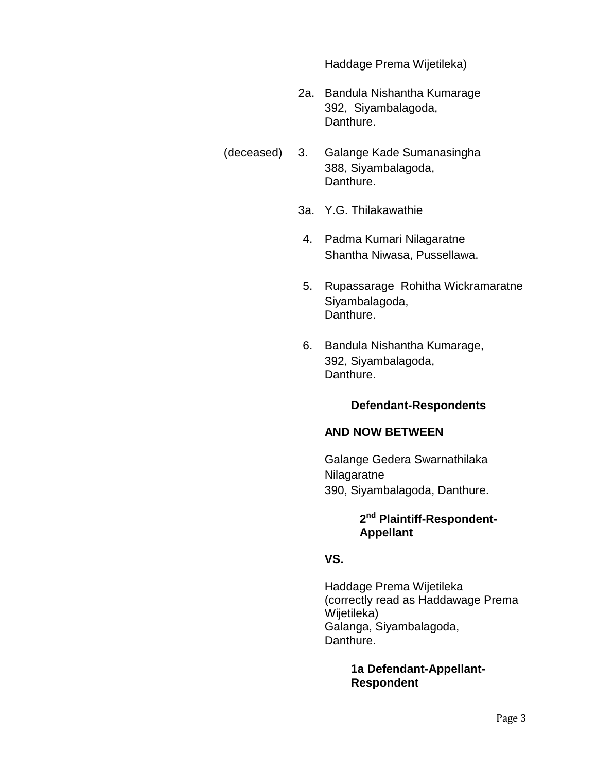Haddage Prema Wijetileka)

- 2a. Bandula Nishantha Kumarage 392, Siyambalagoda, Danthure.
- (deceased) 3. Galange Kade Sumanasingha 388, Siyambalagoda, Danthure.
	- 3a. Y.G. Thilakawathie
	- 4. Padma Kumari Nilagaratne Shantha Niwasa, Pussellawa.
	- 5. Rupassarage Rohitha Wickramaratne Siyambalagoda, Danthure.
	- 6. Bandula Nishantha Kumarage, 392, Siyambalagoda, Danthure.

### **Defendant-Respondents**

#### **AND NOW BETWEEN**

Galange Gedera Swarnathilaka Nilagaratne 390, Siyambalagoda, Danthure.

### **2 nd Plaintiff-Respondent-Appellant**

#### **VS.**

Haddage Prema Wijetileka (correctly read as Haddawage Prema Wijetileka) Galanga, Siyambalagoda, Danthure.

> **1a Defendant-Appellant-Respondent**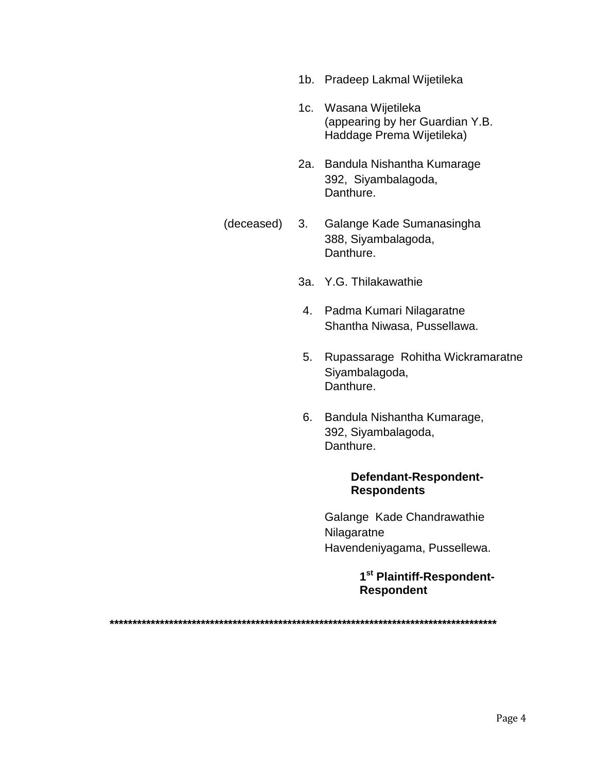- 1b. Pradeep Lakmal Wijetileka
- 1c. Wasana Wijetileka (appearing by her Guardian Y.B. Haddage Prema Wijetileka)
- 2a. Bandula Nishantha Kumarage 392, Siyambalagoda, Danthure.
- (deceased) 3. Galange Kade Sumanasingha 388, Siyambalagoda, Danthure.
	- 3a. Y.G. Thilakawathie
	- 4. Padma Kumari Nilagaratne Shantha Niwasa, Pussellawa.
	- 5. Rupassarage Rohitha Wickramaratne Siyambalagoda, Danthure.
	- 6. Bandula Nishantha Kumarage, 392, Siyambalagoda, Danthure.

#### **Defendant-Respondent-Respondents**

Galange Kade Chandrawathie Nilagaratne Havendeniyagama, Pussellewa.

> **1 st Plaintiff-Respondent-Respondent**

**\*\*\*\*\*\*\*\*\*\*\*\*\*\*\*\*\*\*\*\*\*\*\*\*\*\*\*\*\*\*\*\*\*\*\*\*\*\*\*\*\*\*\*\*\*\*\*\*\*\*\*\*\*\*\*\*\*\*\*\*\*\*\*\*\*\*\*\*\*\*\*\*\*\*\*\*\*\*\*\*\*\*\*\*\***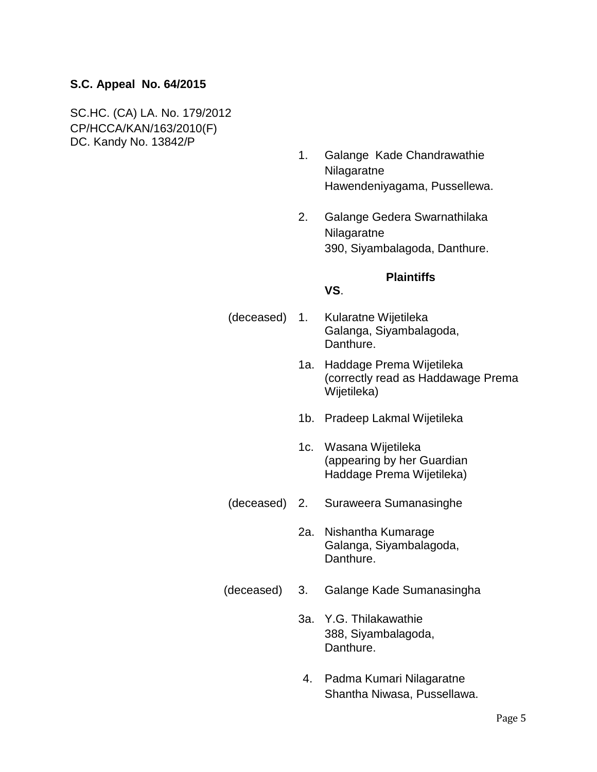### **S.C. Appeal No. 64/2015**

SC.HC. (CA) LA. No. 179/2012 CP/HCCA/KAN/163/2010(F) DC. Kandy No. 13842/P

- 1. Galange Kade Chandrawathie Nilagaratne Hawendeniyagama, Pussellewa.
- 2. Galange Gedera Swarnathilaka Nilagaratne 390, Siyambalagoda, Danthure.

#### **Plaintiffs**

#### **VS**.

- (deceased) 1. Kularatne Wijetileka Galanga, Siyambalagoda, Danthure.
	- 1a. Haddage Prema Wijetileka (correctly read as Haddawage Prema Wijetileka)
	- 1b. Pradeep Lakmal Wijetileka
	- 1c. Wasana Wijetileka (appearing by her Guardian Haddage Prema Wijetileka)
- (deceased) 2. Suraweera Sumanasinghe
	- 2a. Nishantha Kumarage Galanga, Siyambalagoda, Danthure.
- (deceased) 3. Galange Kade Sumanasingha
	- 3a. Y.G. Thilakawathie 388, Siyambalagoda, Danthure.
	- 4. Padma Kumari Nilagaratne Shantha Niwasa, Pussellawa.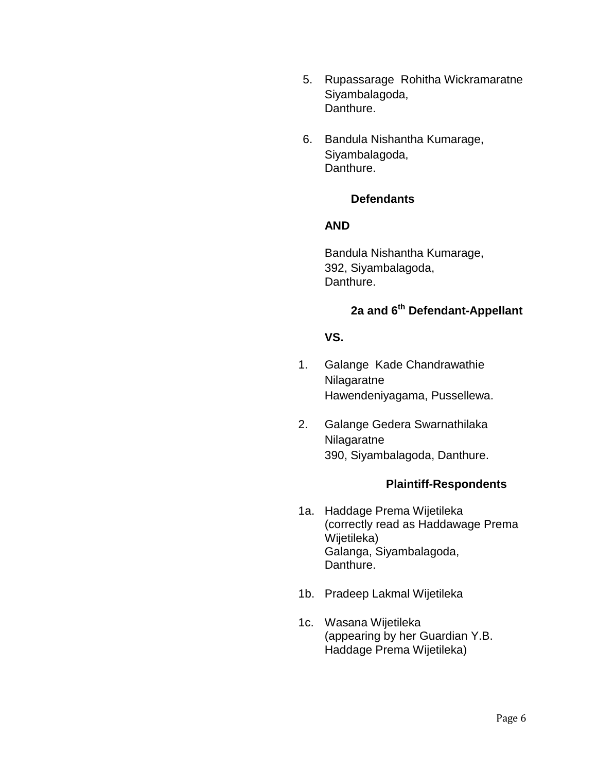- 5. Rupassarage Rohitha Wickramaratne Siyambalagoda, Danthure.
- 6. Bandula Nishantha Kumarage, Siyambalagoda, Danthure.

#### **Defendants**

### **AND**

Bandula Nishantha Kumarage, 392, Siyambalagoda, Danthure.

# **2a and 6th Defendant-Appellant**

### **VS.**

- 1. Galange Kade Chandrawathie Nilagaratne Hawendeniyagama, Pussellewa.
- 2. Galange Gedera Swarnathilaka Nilagaratne 390, Siyambalagoda, Danthure.

#### **Plaintiff-Respondents**

- 1a. Haddage Prema Wijetileka (correctly read as Haddawage Prema Wijetileka) Galanga, Siyambalagoda, Danthure.
- 1b. Pradeep Lakmal Wijetileka
- 1c. Wasana Wijetileka (appearing by her Guardian Y.B. Haddage Prema Wijetileka)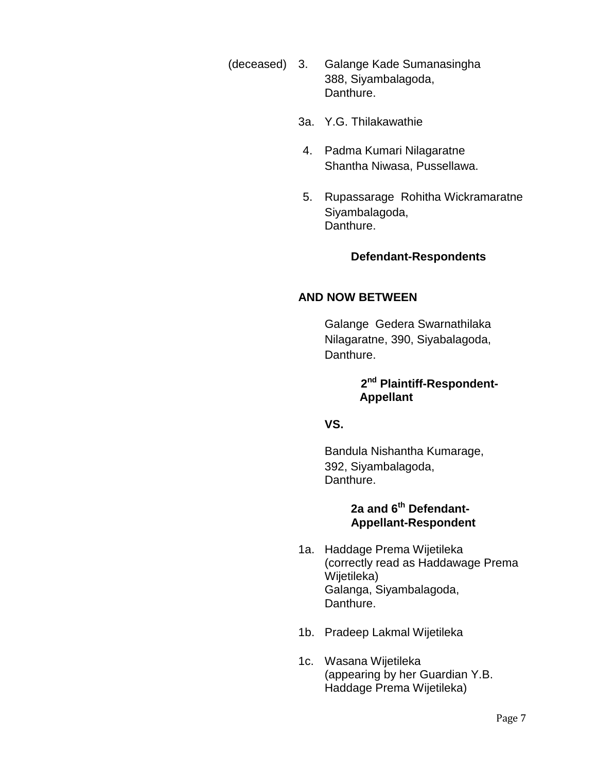- (deceased) 3. Galange Kade Sumanasingha 388, Siyambalagoda, Danthure.
	- 3a. Y.G. Thilakawathie
	- 4. Padma Kumari Nilagaratne Shantha Niwasa, Pussellawa.
	- 5. Rupassarage Rohitha Wickramaratne Siyambalagoda, Danthure.

### **Defendant-Respondents**

### **AND NOW BETWEEN**

Galange Gedera Swarnathilaka Nilagaratne, 390, Siyabalagoda, Danthure.

### **2 nd Plaintiff-Respondent-Appellant**

### **VS.**

Bandula Nishantha Kumarage, 392, Siyambalagoda, Danthure.

### **2a and 6th Defendant-Appellant-Respondent**

- 1a. Haddage Prema Wijetileka (correctly read as Haddawage Prema Wijetileka) Galanga, Siyambalagoda, Danthure.
- 1b. Pradeep Lakmal Wijetileka
- 1c. Wasana Wijetileka (appearing by her Guardian Y.B. Haddage Prema Wijetileka)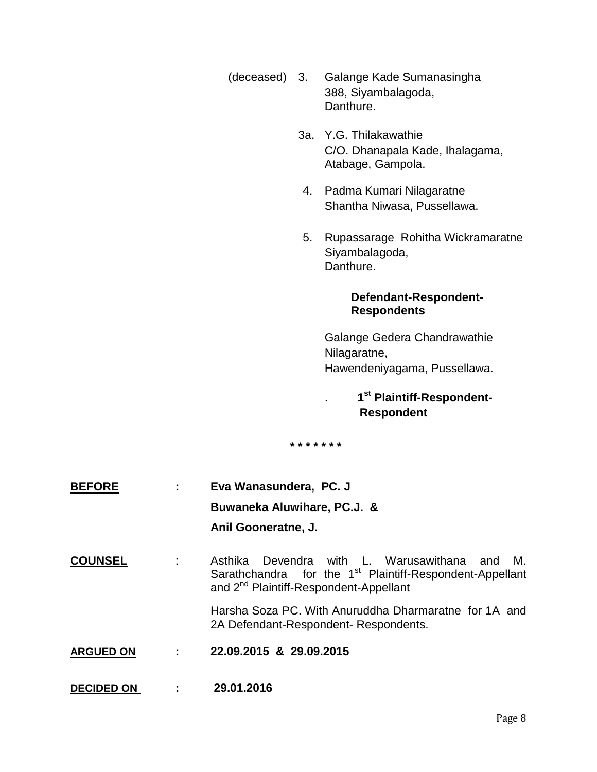- (deceased) 3. Galange Kade Sumanasingha 388, Siyambalagoda, Danthure.
	- 3a. Y.G. Thilakawathie C/O. Dhanapala Kade, Ihalagama, Atabage, Gampola.
	- 4. Padma Kumari Nilagaratne Shantha Niwasa, Pussellawa.
	- 5. Rupassarage Rohitha Wickramaratne Siyambalagoda, Danthure.

### **Defendant-Respondent-Respondents**

Galange Gedera Chandrawathie Nilagaratne, Hawendeniyagama, Pussellawa.

## . **1 st Plaintiff-Respondent-Respondent**

**\* \* \* \* \* \* \***

- **BEFORE : Eva Wanasundera, PC. J Buwaneka Aluwihare, PC.J. & Anil Gooneratne, J.**
- **COUNSEL** : Asthika Devendra with L. Warusawithana and M. Sarathchandra for the 1<sup>st</sup> Plaintiff-Respondent-Appellant and 2<sup>nd</sup> Plaintiff-Respondent-Appellant

Harsha Soza PC. With Anuruddha Dharmaratne for 1A and 2A Defendant-Respondent- Respondents.

- **ARGUED ON : 22.09.2015 & 29.09.2015**
- **DECIDED ON : 29.01.2016**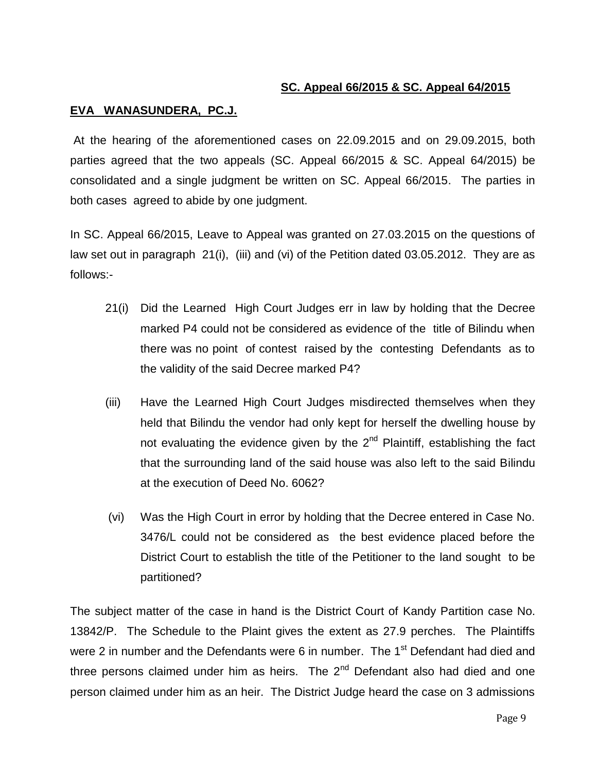### **SC. Appeal 66/2015 & SC. Appeal 64/2015**

#### **EVA WANASUNDERA, PC.J.**

At the hearing of the aforementioned cases on 22.09.2015 and on 29.09.2015, both parties agreed that the two appeals (SC. Appeal 66/2015 & SC. Appeal 64/2015) be consolidated and a single judgment be written on SC. Appeal 66/2015. The parties in both cases agreed to abide by one judgment.

In SC. Appeal 66/2015, Leave to Appeal was granted on 27.03.2015 on the questions of law set out in paragraph 21(i), (iii) and (vi) of the Petition dated 03.05.2012. They are as follows:-

- 21(i) Did the Learned High Court Judges err in law by holding that the Decree marked P4 could not be considered as evidence of the title of Bilindu when there was no point of contest raised by the contesting Defendants as to the validity of the said Decree marked P4?
- (iii) Have the Learned High Court Judges misdirected themselves when they held that Bilindu the vendor had only kept for herself the dwelling house by not evaluating the evidence given by the  $2<sup>nd</sup>$  Plaintiff, establishing the fact that the surrounding land of the said house was also left to the said Bilindu at the execution of Deed No. 6062?
- (vi) Was the High Court in error by holding that the Decree entered in Case No. 3476/L could not be considered as the best evidence placed before the District Court to establish the title of the Petitioner to the land sought to be partitioned?

The subject matter of the case in hand is the District Court of Kandy Partition case No. 13842/P. The Schedule to the Plaint gives the extent as 27.9 perches. The Plaintiffs were 2 in number and the Defendants were 6 in number. The 1<sup>st</sup> Defendant had died and three persons claimed under him as heirs. The  $2<sup>nd</sup>$  Defendant also had died and one person claimed under him as an heir. The District Judge heard the case on 3 admissions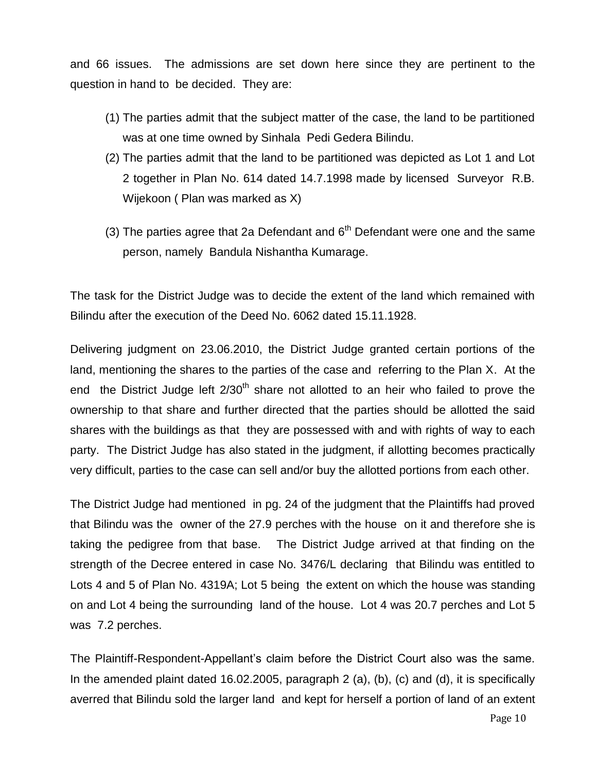and 66 issues. The admissions are set down here since they are pertinent to the question in hand to be decided. They are:

- (1) The parties admit that the subject matter of the case, the land to be partitioned was at one time owned by Sinhala Pedi Gedera Bilindu.
- (2) The parties admit that the land to be partitioned was depicted as Lot 1 and Lot 2 together in Plan No. 614 dated 14.7.1998 made by licensed Surveyor R.B. Wijekoon ( Plan was marked as X)
- (3) The parties agree that 2a Defendant and  $6<sup>th</sup>$  Defendant were one and the same person, namely Bandula Nishantha Kumarage.

The task for the District Judge was to decide the extent of the land which remained with Bilindu after the execution of the Deed No. 6062 dated 15.11.1928.

Delivering judgment on 23.06.2010, the District Judge granted certain portions of the land, mentioning the shares to the parties of the case and referring to the Plan X. At the end the District Judge left 2/30<sup>th</sup> share not allotted to an heir who failed to prove the ownership to that share and further directed that the parties should be allotted the said shares with the buildings as that they are possessed with and with rights of way to each party. The District Judge has also stated in the judgment, if allotting becomes practically very difficult, parties to the case can sell and/or buy the allotted portions from each other.

The District Judge had mentioned in pg. 24 of the judgment that the Plaintiffs had proved that Bilindu was the owner of the 27.9 perches with the house on it and therefore she is taking the pedigree from that base. The District Judge arrived at that finding on the strength of the Decree entered in case No. 3476/L declaring that Bilindu was entitled to Lots 4 and 5 of Plan No. 4319A; Lot 5 being the extent on which the house was standing on and Lot 4 being the surrounding land of the house. Lot 4 was 20.7 perches and Lot 5 was 7.2 perches.

The Plaintiff-Respondent-Appellant's claim before the District Court also was the same. In the amended plaint dated 16.02.2005, paragraph 2 (a), (b), (c) and (d), it is specifically averred that Bilindu sold the larger land and kept for herself a portion of land of an extent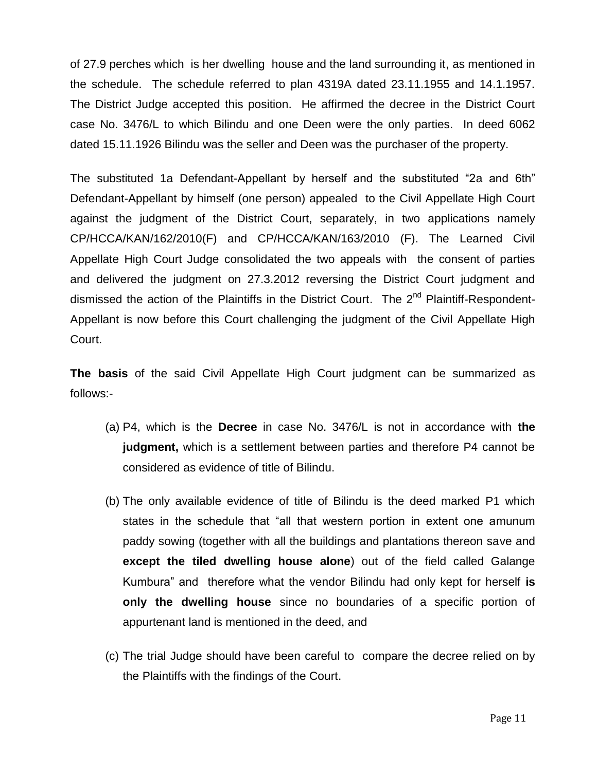of 27.9 perches which is her dwelling house and the land surrounding it, as mentioned in the schedule. The schedule referred to plan 4319A dated 23.11.1955 and 14.1.1957. The District Judge accepted this position. He affirmed the decree in the District Court case No. 3476/L to which Bilindu and one Deen were the only parties. In deed 6062 dated 15.11.1926 Bilindu was the seller and Deen was the purchaser of the property.

The substituted 1a Defendant-Appellant by herself and the substituted "2a and 6th" Defendant-Appellant by himself (one person) appealed to the Civil Appellate High Court against the judgment of the District Court, separately, in two applications namely CP/HCCA/KAN/162/2010(F) and CP/HCCA/KAN/163/2010 (F). The Learned Civil Appellate High Court Judge consolidated the two appeals with the consent of parties and delivered the judgment on 27.3.2012 reversing the District Court judgment and dismissed the action of the Plaintiffs in the District Court. The 2<sup>nd</sup> Plaintiff-Respondent-Appellant is now before this Court challenging the judgment of the Civil Appellate High Court.

**The basis** of the said Civil Appellate High Court judgment can be summarized as follows:-

- (a) P4, which is the **Decree** in case No. 3476/L is not in accordance with **the judgment,** which is a settlement between parties and therefore P4 cannot be considered as evidence of title of Bilindu.
- (b) The only available evidence of title of Bilindu is the deed marked P1 which states in the schedule that "all that western portion in extent one amunum paddy sowing (together with all the buildings and plantations thereon save and **except the tiled dwelling house alone**) out of the field called Galange Kumbura" and therefore what the vendor Bilindu had only kept for herself **is only the dwelling house** since no boundaries of a specific portion of appurtenant land is mentioned in the deed, and
- (c) The trial Judge should have been careful to compare the decree relied on by the Plaintiffs with the findings of the Court.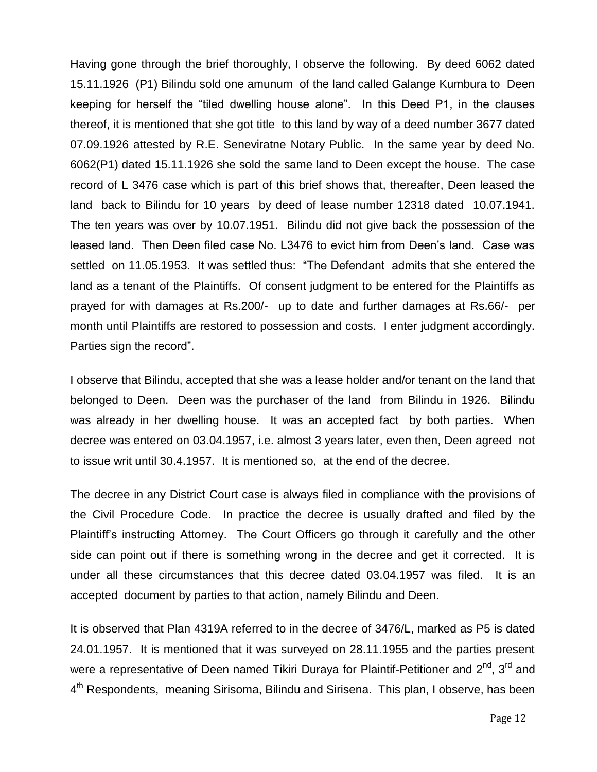Having gone through the brief thoroughly, I observe the following. By deed 6062 dated 15.11.1926 (P1) Bilindu sold one amunum of the land called Galange Kumbura to Deen keeping for herself the "tiled dwelling house alone". In this Deed P1, in the clauses thereof, it is mentioned that she got title to this land by way of a deed number 3677 dated 07.09.1926 attested by R.E. Seneviratne Notary Public. In the same year by deed No. 6062(P1) dated 15.11.1926 she sold the same land to Deen except the house. The case record of L 3476 case which is part of this brief shows that, thereafter, Deen leased the land back to Bilindu for 10 years by deed of lease number 12318 dated 10.07.1941. The ten years was over by 10.07.1951. Bilindu did not give back the possession of the leased land. Then Deen filed case No. L3476 to evict him from Deen's land. Case was settled on 11.05.1953. It was settled thus: "The Defendant admits that she entered the land as a tenant of the Plaintiffs. Of consent judgment to be entered for the Plaintiffs as prayed for with damages at Rs.200/- up to date and further damages at Rs.66/- per month until Plaintiffs are restored to possession and costs. I enter judgment accordingly. Parties sign the record".

I observe that Bilindu, accepted that she was a lease holder and/or tenant on the land that belonged to Deen. Deen was the purchaser of the land from Bilindu in 1926. Bilindu was already in her dwelling house. It was an accepted fact by both parties. When decree was entered on 03.04.1957, i.e. almost 3 years later, even then, Deen agreed not to issue writ until 30.4.1957. It is mentioned so, at the end of the decree.

The decree in any District Court case is always filed in compliance with the provisions of the Civil Procedure Code. In practice the decree is usually drafted and filed by the Plaintiff's instructing Attorney. The Court Officers go through it carefully and the other side can point out if there is something wrong in the decree and get it corrected. It is under all these circumstances that this decree dated 03.04.1957 was filed. It is an accepted document by parties to that action, namely Bilindu and Deen.

It is observed that Plan 4319A referred to in the decree of 3476/L, marked as P5 is dated 24.01.1957. It is mentioned that it was surveyed on 28.11.1955 and the parties present were a representative of Deen named Tikiri Duraya for Plaintif-Petitioner and  $2^{nd}$ ,  $3^{rd}$  and 4<sup>th</sup> Respondents, meaning Sirisoma, Bilindu and Sirisena. This plan, I observe, has been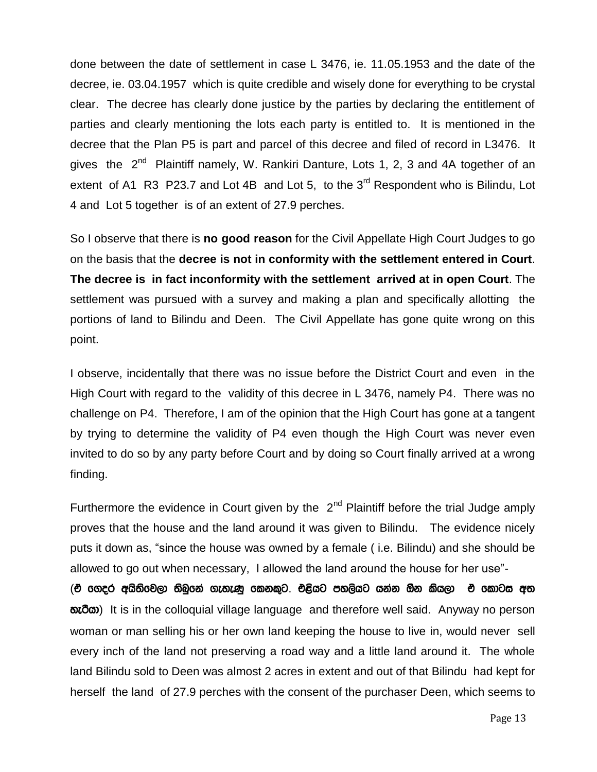done between the date of settlement in case L 3476, ie. 11.05.1953 and the date of the decree, ie. 03.04.1957 which is quite credible and wisely done for everything to be crystal clear. The decree has clearly done justice by the parties by declaring the entitlement of parties and clearly mentioning the lots each party is entitled to. It is mentioned in the decree that the Plan P5 is part and parcel of this decree and filed of record in L3476. It gives the 2<sup>nd</sup> Plaintiff namely, W. Rankiri Danture, Lots 1, 2, 3 and 4A together of an extent of A1 R3 P23.7 and Lot 4B and Lot 5, to the  $3<sup>rd</sup>$  Respondent who is Bilindu, Lot 4 and Lot 5 together is of an extent of 27.9 perches.

So I observe that there is **no good reason** for the Civil Appellate High Court Judges to go on the basis that the **decree is not in conformity with the settlement entered in Court**. **The decree is in fact inconformity with the settlement arrived at in open Court**. The settlement was pursued with a survey and making a plan and specifically allotting the portions of land to Bilindu and Deen. The Civil Appellate has gone quite wrong on this point.

I observe, incidentally that there was no issue before the District Court and even in the High Court with regard to the validity of this decree in L 3476, namely P4. There was no challenge on P4. Therefore, I am of the opinion that the High Court has gone at a tangent by trying to determine the validity of P4 even though the High Court was never even invited to do so by any party before Court and by doing so Court finally arrived at a wrong finding.

Furthermore the evidence in Court given by the  $2<sup>nd</sup>$  Plaintiff before the trial Judge amply proves that the house and the land around it was given to Bilindu. The evidence nicely puts it down as, "since the house was owned by a female ( i.e. Bilindu) and she should be allowed to go out when necessary, I allowed the land around the house for her use"-

(එ ගෙදර අයිතිවෙලා තිබුනේ ගැහැණු කෙනකුට. එළියට පහලියට යන්න ඕන කියලා එ කොටස අත  $\delta$ <sub>0</sub> and it is in the colloquial village language and therefore well said. Anyway no person woman or man selling his or her own land keeping the house to live in, would never sell every inch of the land not preserving a road way and a little land around it. The whole land Bilindu sold to Deen was almost 2 acres in extent and out of that Bilindu had kept for herself the land of 27.9 perches with the consent of the purchaser Deen, which seems to